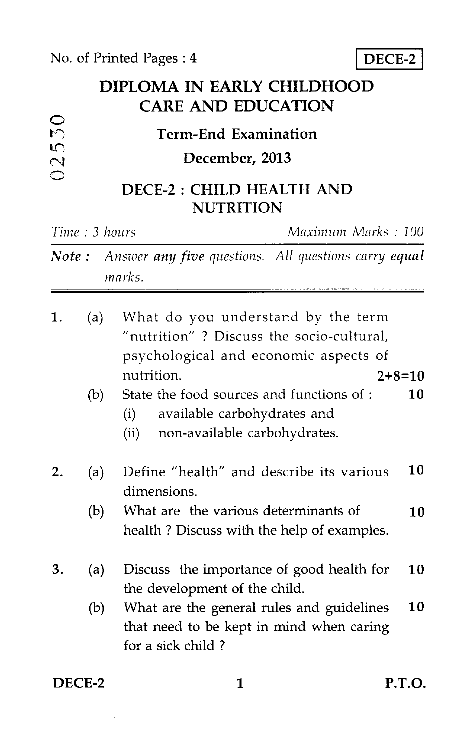$\circ$ 



## **DIPLOMA IN EARLY CHILDHOOD CARE AND EDUCATION**

| $\cup$                             | <b>Term-End Examination</b>                   |  |
|------------------------------------|-----------------------------------------------|--|
| $\cup$<br>$\overline{\mathcal{C}}$ | December, 2013                                |  |
| ◯                                  | DECE-2 : CHILD HEALTH AND<br><b>NUTRITION</b> |  |

|    | Time: 3 hours |                                                                                                                                                   | Maximum Marks: 100 |  |
|----|---------------|---------------------------------------------------------------------------------------------------------------------------------------------------|--------------------|--|
|    |               | <b>Note:</b> Answer any five questions. All questions carry equal<br>marks.                                                                       |                    |  |
| 1. | (a)           | What do you understand by the term<br>"nutrition"? Discuss the socio-cultural,<br>psychological and economic aspects of<br>nutrition.<br>$2+8=10$ |                    |  |
|    | (b)           | State the food sources and functions of:<br>available carbohydrates and<br>(i)<br>(ii)<br>non-available carbohydrates.                            | 10                 |  |
| 2. | (a)           | Define "health" and describe its various<br>dimensions.                                                                                           | 10                 |  |
|    | (b)           | What are the various determinants of<br>health? Discuss with the help of examples.                                                                | 10                 |  |
| 3. | (a)           | Discuss the importance of good health for<br>the development of the child.                                                                        | 10                 |  |
|    | (b)           | What are the general rules and guidelines<br>that need to be kept in mind when caring<br>for a sick child?                                        | 10                 |  |

DECE-2 1 P.T.O.

 $\bar{z}$ 

 $\mathcal{L}^{\mathcal{L}}$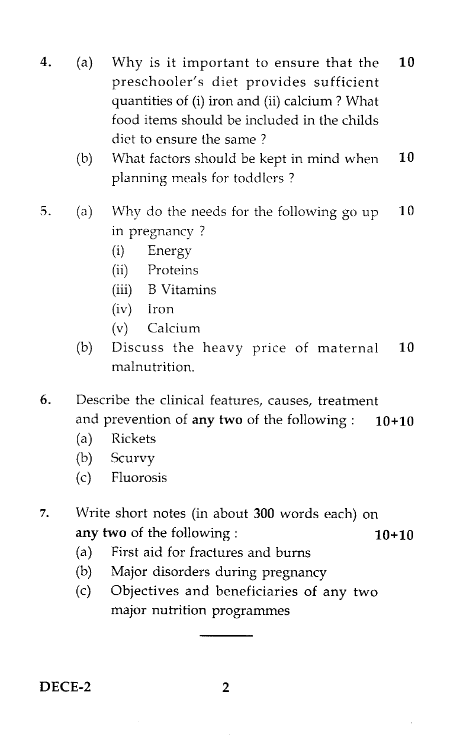- 4. (a) Why is it important to ensure that the 10 preschooler's diet provides sufficient quantities of (i) iron and (ii) calcium ? What food items should be included in the childs diet to ensure the same ?
	- (b) What factors should be kept in mind when  $10$ planning meals for toddlers ?
- 5. (a) Why do the needs for the following go up  $10$ in pregnancy ?
	- (i) Energy
	- (ii) Proteins
	- (iii) B Vitamins
	- (iv) Iron
	- (v) Calcium
	- (b) Discuss the heavy price of maternal 10 malnutrition.
- 6. Describe the clinical features, causes, treatment and prevention of any two of the following :  $10+10$ 
	- (a) Rickets
	- (b) Scurvy
	- (c) Fluorosis
- 7. Write short notes (in about 300 words each) on any two of the following :  $10+10$ 
	- (a) First aid for fractures and burns
	- (b) Major disorders during pregnancy
	- (c) Objectives and beneficiaries of any two major nutrition programmes

DECE-2 2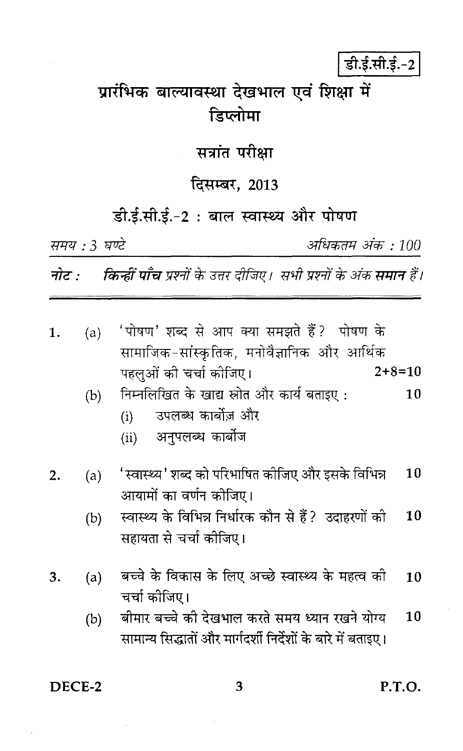# डी.ई.सी.ई.-2

# प्रारंभिक बाल्यावस्था देखभाल एवं शिक्षा में डिप्लोमा

#### सत्रांत परीक्षा

## दिसम्बर, 2013

## डी.ई.सी.ई.-2: बाल स्वास्थ्य और पोषण

समय: 3 घण्टे

अधिकतम अंक : 100

**नोट : किन्हीं पाँच** प्रश्नों के उत्तर दीजिए। सभी प्रश्नों के अंक **समान** हैं।

| 1. | (a) | 'पोषण' शब्द से आप क्या समझते हैं ? पोषण के                   |    |
|----|-----|--------------------------------------------------------------|----|
|    |     | सामाजिक-सांस्कृतिक, मनोवैज्ञानिक और आर्थिक                   |    |
|    |     | $2+8=10$<br>पहलुओं की चर्चा कोजिए।                           |    |
|    | (b) | निम्नलिखित के खाद्य स्रोत और कार्य बताइए:                    | 10 |
|    |     | उपलब्ध कार्बोज़ और<br>(i)                                    |    |
|    |     | अनुपलब्ध कार्बोज<br>(ii)                                     |    |
| 2. | (a) | 'स्वास्थ्य' शब्द को परिभाषित कोजिए और इसके विभिन्न           | 10 |
|    |     | आयामों का वर्णन कीजिए।                                       |    |
|    | (b) | स्वास्थ्य के विभिन्न निर्धारक कौन से हैं?  उदाहरणों को       | 10 |
|    |     | सहायता से चर्चा कीजिए।                                       |    |
| 3. | (a) | बच्चे के विकास के लिए अच्छे स्वास्थ्य के महत्व को            | 10 |
|    |     | चर्चा कीजिए।                                                 |    |
|    | (b) | बीमार बच्चे की देखभाल करते समय ध्यान रखने योग्य              | 10 |
|    |     | सामान्य सिद्धातों और मार्गदर्शी निर्देशों के बारे में बताइए। |    |
|    |     |                                                              |    |

DECE-2

P.T.O.